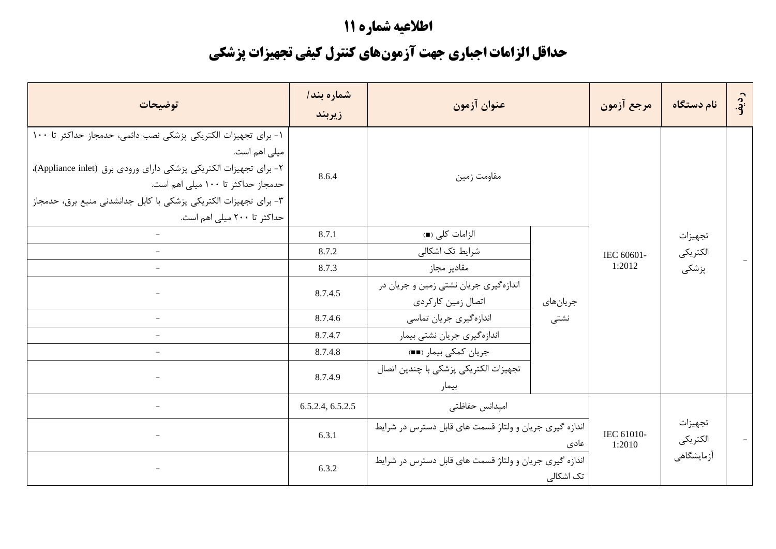## اطلاعيه شماره 11

## حداقل الزامات اجباري جهت آزمونهاي كنترل كيفي تجهيزات پزشكي

| توضيحات                                                                                                                                                                                                                                                                                       | شماره بند/<br>زيربند | عنوان آزمون                                                 |           | مرجع آزمون           | نام دستگاه          | رديف |
|-----------------------------------------------------------------------------------------------------------------------------------------------------------------------------------------------------------------------------------------------------------------------------------------------|----------------------|-------------------------------------------------------------|-----------|----------------------|---------------------|------|
| ١- براي تجهيزات الكتريكي پزشكي نصب دائمي، حدمجاز حداكثر تا ١٠٠<br>میلی اهم است.<br>٢- برای تجهیزات الکتریکی پزشکی دارای ورودی برق (Appliance inlet)،<br>حدمجاز حداکثر تا ۱۰۰ میلی اهم است.<br>٣- براي تجهيزات الكتريكي پزشكي با كابل جدانشدني منبع برق، حدمجاز<br>حداکثر تا ۲۰۰ میلی اهم است. | 8.6.4                | مقاومت زمين                                                 |           |                      |                     |      |
|                                                                                                                                                                                                                                                                                               | 8.7.1                | الزامات كلى (■)                                             |           | IEC 60601-<br>1:2012 | تجهيزات             |      |
|                                                                                                                                                                                                                                                                                               | 8.7.2                | شرایط تک اشکالی                                             |           |                      | الكتريكي            |      |
|                                                                                                                                                                                                                                                                                               | 8.7.3                | مقادير مجاز                                                 |           |                      | پزشکی               |      |
|                                                                                                                                                                                                                                                                                               | 8.7.4.5              | اندازهگیری جریان نشتی زمین و جریان در<br>اتصال زمين كاركردي | جريانهاي  |                      |                     |      |
|                                                                                                                                                                                                                                                                                               | 8.7.4.6              | اندازهگیری جریان تماسی                                      | نشتى      |                      |                     |      |
|                                                                                                                                                                                                                                                                                               | 8.7.4.7              | اندازهگیری جریان نشتی بیمار                                 |           |                      |                     |      |
|                                                                                                                                                                                                                                                                                               | 8.7.4.8              | جريان كمكي بيمار (■■)                                       |           |                      |                     |      |
|                                                                                                                                                                                                                                                                                               | 8.7.4.9              | تجهیزات الکتریکی پزشکی با چندین اتصال<br>بيمار              |           |                      |                     |      |
|                                                                                                                                                                                                                                                                                               | 6.5.2.4, 6.5.2.5     | امپدانس حفاظتی                                              |           |                      |                     |      |
|                                                                                                                                                                                                                                                                                               | 6.3.1                | اندازه گیری جریان و ولتاژ قسمت های قابل دسترس در شرایط      | عادی      | IEC 61010-<br>1:2010 | تجهيزات<br>الكتريكي |      |
|                                                                                                                                                                                                                                                                                               | 6.3.2                | اندازه گیری جریان و ولتاژ قسمت های قابل دسترس در شرایط      | تک اشکالی |                      | أزمايشگاهي          |      |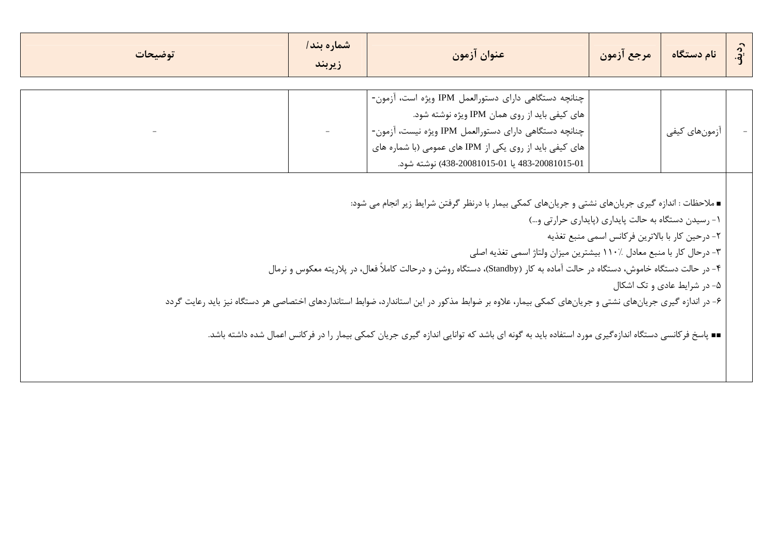| توضيحات | شماره بند/<br>زيربند | عنوان آزمون                                                                                                                                                                                                                                                                                                                                                                                                                                                                                                                                                                                                         | مرجع آزمون                                                                                            | نام دستگاه                  | $\ddot{a}$ |
|---------|----------------------|---------------------------------------------------------------------------------------------------------------------------------------------------------------------------------------------------------------------------------------------------------------------------------------------------------------------------------------------------------------------------------------------------------------------------------------------------------------------------------------------------------------------------------------------------------------------------------------------------------------------|-------------------------------------------------------------------------------------------------------|-----------------------------|------------|
|         |                      | چنانچه دستگاهی دارای دستورالعمل IPM ویژه است، آزمون-<br>های کیفی باید از روی همان IPM ویژه نوشته شود.<br>چنانچه دستگاهی دارای دستورالعمل IPM ویژه نیست، آزمون-<br>های کیفی باید از روی یکی از IPM های عمومی (با شماره های<br>483-20081015-01 يا 20081015-01(438-438) نوشته شود.                                                                                                                                                                                                                                                                                                                                     |                                                                                                       | أزمونهاي كيفي               |            |
|         |                      | ■ ملاحظات : اندازه گیری جریانهای نشتی و جریانهای کمکی بیمار با درنظر گرفتن شرایط زیر انجام می شود:<br>۳- درحال کار با منبع معادل ٪۱۱۰ بیشترین میزان ولتاژ اسمی تغذیه اصلی<br>۴- در حالت دستگاه خاموش، دستگاه در حالت آماده به کار (Standby)، دستگاه روشن و درحالت کاملاً فعال، در پلاریته معکوس و نرمال<br>۶- در اندازه گیری جریانهای نشتی و جریانهای کمکی بیمار، علاوه بر ضوابط مذکور در این استاندارد، ضوابط استانداردهای اختصاصی هر دستگاه نیز باید رعایت گردد<br>∎∎ پاسخ فرکانسی دستگاه اندازهگیری مورد استفاده باید به گونه ای باشد که توانایی اندازه گیری جریان کمکی بیمار را در فرکانس اعمال شده داشته باشد. | ١- رسيدن دستگاه به حالت پايداري (پايداري حرارتي و)<br>٢- درحين كار با بالاترين فركانس اسمى منبع تغذيه | ۵- در شرایط عادی و تک اشکال |            |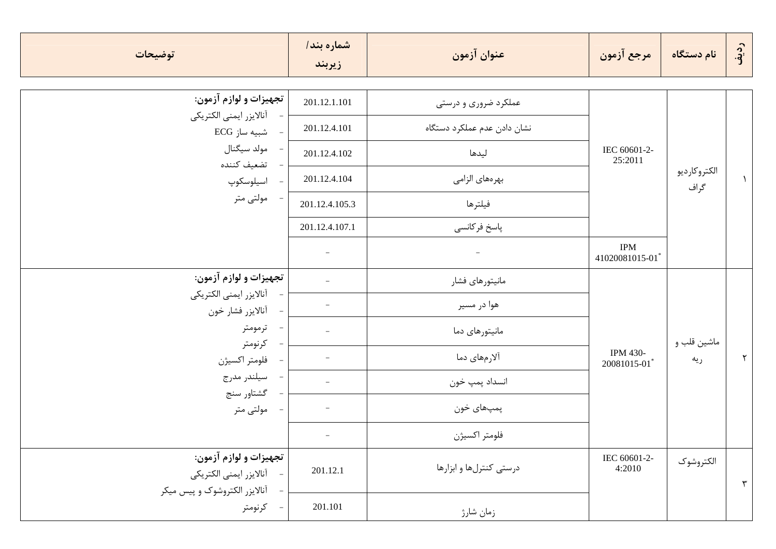| توضيحات                                           | شماره بند/<br>زيربند | عنوان آزمون                 | مرجع آزمون                   | نام دستگاه           | رديف |
|---------------------------------------------------|----------------------|-----------------------------|------------------------------|----------------------|------|
| تجهيزات و لوازم آزمون:                            | 201.12.1.101         | عملکرد ضروری و درستی        |                              | الكتروكارديو<br>گراف |      |
| آنالايزر ايمنى الكتريكي<br>شبیه ساز ECG           | 201.12.4.101         | نشان دادن عدم عملكرد دستگاه |                              |                      |      |
| مولد سيگنال                                       | 201.12.4.102         | ليدها                       | IEC 60601-2-<br>25:2011      |                      |      |
| تضعيف كننده<br>اسيلوسكوپ                          | 201.12.4.104         | بهرەهای الزامی              |                              |                      |      |
| مولتى متر                                         | 201.12.4.105.3       | فيلترها                     |                              |                      |      |
|                                                   | 201.12.4.107.1       | پاسخ فركانسي                |                              |                      |      |
|                                                   |                      |                             | <b>IPM</b><br>41020081015-01 |                      |      |
| تجهيزات و لوازم آزمون:                            |                      | مانيتورهاي فشار             |                              |                      |      |
| آنالايزر ايمنى الكتريكي<br>آنالايزر فشار خون      |                      | هوا در مسير                 |                              |                      |      |
| ترمومتر                                           |                      | مانیتورهای دما              |                              |                      |      |
| كرنومتر<br>فلومتر اكسيژن                          |                      | آلارمهای دما                | IPM 430-                     | ماشين قلب و<br>ريه   | ٢    |
| سيلندر مدرج                                       |                      | انسداد پمپ خون              | 20081015-01                  |                      |      |
| گشتاور سنج<br>مولتى متر                           |                      | پمپھای خون                  |                              |                      |      |
|                                                   |                      | فلومتر اكسيژن               |                              |                      |      |
|                                                   |                      |                             |                              |                      |      |
| تجهيزات و لوازم آزمون:<br>آنالايزر ايمنى الكتريكي | 201.12.1             | درستی کنترلها و ابزارها     | IEC 60601-2-<br>4:2010       | الكتروشوك            |      |
| آنالایزر الکتروشوک و پیس میکر                     |                      |                             |                              |                      | ٣    |
| - كرنومتر                                         | 201.101              | زمان شارژ                   |                              |                      |      |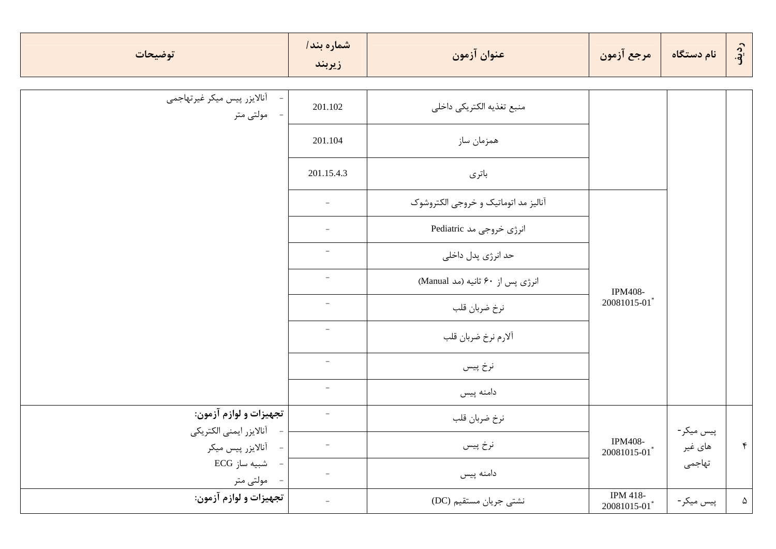| توضيحات                                      | شماره بند/<br>زيربند     | عنوان آزمون                          | مرجع آزمون                                     | نام دستگاه | رديق          |
|----------------------------------------------|--------------------------|--------------------------------------|------------------------------------------------|------------|---------------|
|                                              |                          |                                      |                                                |            |               |
| أنالايزر پيس ميكر غيرتهاجمي<br>مولتى متر     | 201.102                  | منبع تغذيه الكتريكي داخلي            |                                                |            |               |
|                                              | 201.104                  | همزمان ساز                           |                                                |            |               |
|                                              | 201.15.4.3               | باترى                                |                                                |            |               |
|                                              | $\overline{\phantom{a}}$ | آنالیز مد اتوماتیک و خروجی الکتروشوک |                                                |            |               |
|                                              | $\overline{\phantom{a}}$ | انرژی خروجی مد Pediatric             |                                                |            |               |
|                                              | $\overline{\phantom{a}}$ | حد انرژی پدل داخلی                   |                                                |            |               |
|                                              |                          | انرژی پس از ۶۰ ثانیه (مد Manual)     | <b>IPM408-</b>                                 |            |               |
|                                              | $\overline{\phantom{a}}$ | نرخ ضربان قلب                        | 20081015-01*                                   |            |               |
|                                              | $\overline{\phantom{a}}$ | ألارم نرخ ضربان قلب                  |                                                |            |               |
|                                              | $\overline{\phantom{a}}$ | نرخ پیس                              |                                                |            |               |
|                                              | $\overline{\phantom{a}}$ | دامنه پیس                            |                                                |            |               |
| تجهيزات و لوازم آزمون:                       | $\overline{\phantom{a}}$ | نرخ ضربان قلب                        |                                                | پیس میکر - |               |
| آنالايزر ايمنى الكتريكي<br>أنالايزر پيس ميكر |                          | نرخ پيس                              | <b>IPM408-</b><br>$20081015 - 01$ <sup>*</sup> | های غیر    | $\mathcal{F}$ |
| شبیه ساز ECG<br>مولتى متر                    | $\overline{\phantom{a}}$ | دامنه پیس                            |                                                | تهاجمي     |               |
| تجهيزات و لوازم آزمون:                       | $\overline{\phantom{a}}$ | نشتی جریان مستقیم (DC)               | IPM 418-<br>$20081015\text{-}01^{*}$           | پیس میکر - | $\Delta$      |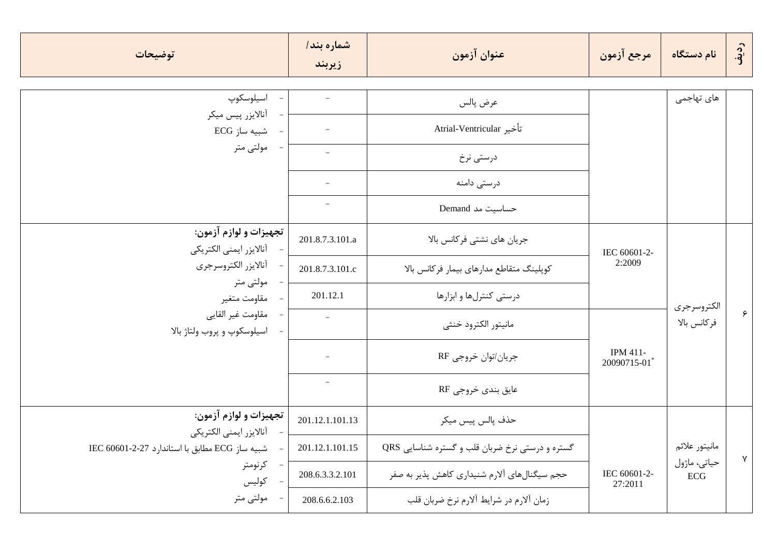| توضيحات                                           | شماره بند/<br>زيربند     | عنوان آزمون                                     | مرجع آزمون              | نام دستگاه                | رديف         |
|---------------------------------------------------|--------------------------|-------------------------------------------------|-------------------------|---------------------------|--------------|
| اسيلوسكوپ                                         |                          | عرض پالس                                        |                         | های تهاجمی                |              |
| أنالايزر پيس ميكر                                 |                          |                                                 |                         |                           |              |
| شبیه ساز ECG                                      |                          | تأخير Atrial-Ventricular                        |                         |                           |              |
| مولتى متر                                         | $\overline{\phantom{a}}$ | درستی نرخ                                       |                         |                           |              |
|                                                   |                          | درستی دامنه                                     |                         |                           |              |
|                                                   | $\overline{\phantom{a}}$ | حساسیت مد Demand                                |                         |                           |              |
| تجهيزات و لوازم آزمون:<br>آنالايزر ايمنى الكتريكي | 201.8.7.3.101.a          | جریان های نشتی فرکانس بالا                      |                         |                           |              |
| أنالايزر الكتروسرجري                              | 201.8.7.3.101.c          | كوپلينگ متقاطع مدارهاي بيمار فركانس بالا        | IEC 60601-2-<br>2:2009  |                           |              |
| مولتى متر<br>مقاومت متغير                         | 201.12.1                 | درستی کنترلها و ابزارها                         |                         | الكتروسرجرى               |              |
| مقاومت غير القايي<br>اسیلوسکوپ و پروب ولتاژ بالا  | $\overline{\phantom{a}}$ | مانيتور الكترود خنثى                            |                         | فر كانس بالا              | ۶            |
|                                                   |                          | جريان/توان خروجي RF                             | IPM 411-<br>20090715-01 |                           |              |
|                                                   | $\overline{\phantom{a}}$ | عايق بندي خروجي RF                              |                         |                           |              |
| تجهيزات و لوازم آزمون:<br>آنالايزر ايمنى الكتريكي | 201.12.1.101.13          | حذف پالس پيس ميكر                               |                         |                           |              |
| شبيه ساز ECG مطابق با استاندارد 27-2-2060 IEC     | 201.12.1.101.15          | گستره و درستی نرخ ضربان قلب و گستره شناسایی QRS |                         | مانيتور علائم             |              |
| كرنومتر<br>كوليس                                  | 208.6.3.3.2.101          | حجم سیگنالهای آلارم شنیداری کاهش پذیر به صفر    | IEC 60601-2-<br>27:2011 | حياتي، ماژول<br>$\rm ECG$ | $\mathsf{v}$ |
| مولتى متر                                         | 208.6.6.2.103            | زمان ألارم در شرايط ألارم نرخ ضربان قلب         |                         |                           |              |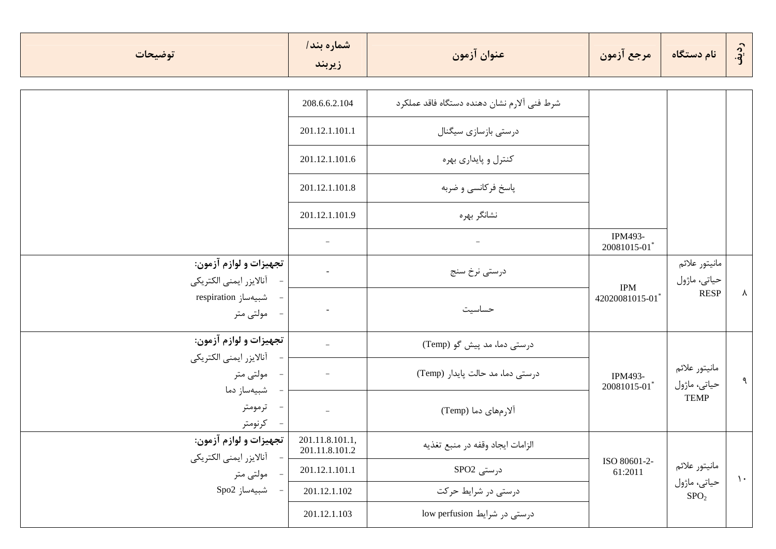| توضيحات                                                                 | شماره بند/<br>زيربند              | عنوان آزمون                                 | مرجع آزمون                   | ً نام دستگاه                     | رديف        |
|-------------------------------------------------------------------------|-----------------------------------|---------------------------------------------|------------------------------|----------------------------------|-------------|
|                                                                         | 208.6.6.2.104                     | شرط فني آلارم نشان دهنده دستگاه فاقد عملكرد |                              |                                  |             |
|                                                                         | 201.12.1.101.1                    | درستی بازسازی سیگنال                        |                              |                                  |             |
|                                                                         | 201.12.1.101.6                    | کنترل و پایداری بهره                        |                              |                                  |             |
|                                                                         | 201.12.1.101.8                    | پاسخ فرکانسی و ضربه                         |                              |                                  |             |
|                                                                         | 201.12.1.101.9                    | نشانگر بهره                                 |                              |                                  |             |
|                                                                         |                                   | $\overline{\phantom{a}}$                    | IPM493-<br>20081015-01*      |                                  |             |
| تجهيزات و لوازم آزمون:<br>آنالايزر ايمنى الكتريكي                       |                                   | درستي نرخ سنج                               |                              | مانيتور علائم<br>حياتي، ماژول    |             |
| - شبيهساز respiration<br>- مولتى متر                                    |                                   | حساسيت                                      | <b>IPM</b><br>42020081015-01 | <b>RESP</b>                      | Y.          |
| تجهيزات و لوازم آزمون:                                                  |                                   | درستی دما، مد پیش گو (Temp)                 |                              |                                  |             |
| آنالايزر ايمنى الكتريكي<br>مولتى متر<br>$\hspace{0.1mm}-\hspace{0.1mm}$ |                                   | درستی دما، مد حالت پایدار (Temp)            | IPM493-<br>20081015-01       | مانيتور علائم<br>حياتي، ماژول    | ٩           |
| شبيەساز دما<br>- ترمومتر<br>- كرنومتر                                   |                                   | آلارمهای دما (Temp)                         |                              | <b>TEMP</b>                      |             |
| تجهيزات و لوازم آزمون:                                                  | 201.11.8.101.1,<br>201.11.8.101.2 | الزامات ايجاد وقفه در منبع تغذيه            |                              |                                  |             |
| آنالايزر ايمنى الكتريكي<br>- مولتى متر                                  | 201.12.1.101.1                    | درستی SPO2                                  | ISO 80601-2-<br>61:2011      | مانيتور علائم                    | $\lambda$ . |
| شبيەساز Spo2                                                            | 201.12.1.102                      | درستی در شرایط حرکت                         |                              | حياتي، ماژول<br>SPO <sub>2</sub> |             |
|                                                                         | 201.12.1.103                      | درستی در شرایط low perfusion                |                              |                                  |             |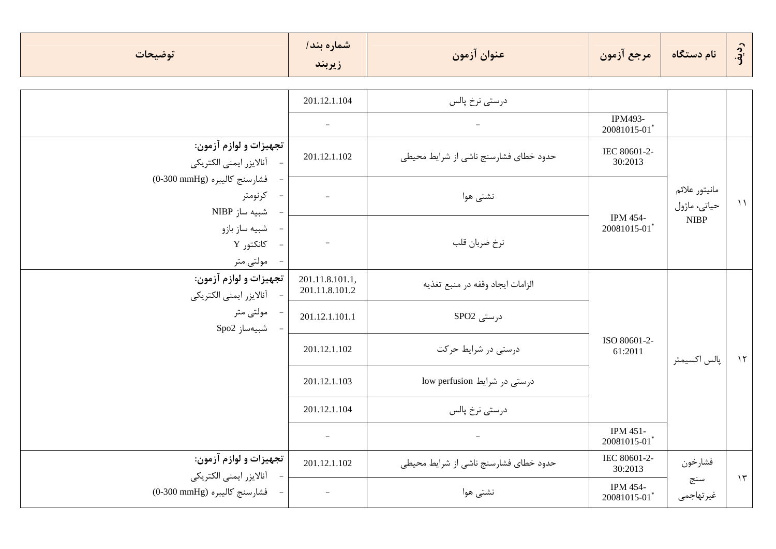| توضيحات                                                  | شماره بند/<br>زيربند              | عنوان آزمون                           | مرجع آزمون                     | نام دستگاه                    | رديف          |
|----------------------------------------------------------|-----------------------------------|---------------------------------------|--------------------------------|-------------------------------|---------------|
|                                                          |                                   |                                       |                                |                               |               |
|                                                          | 201.12.1.104                      | درستى نرخ پالس                        |                                |                               |               |
|                                                          |                                   |                                       | IPM493-<br>20081015-01*        |                               |               |
| تجهيزات و لوازم آزمون:<br>آنالايزر ايمنى الكتريكي        | 201.12.1.102                      | حدود خطای فشارسنج ناشی از شرایط محیطی | IEC 80601-2-<br>30:2013        |                               |               |
| فشارسنج كاليبره (0-300 mmHg)<br>كرنومتر<br>شبيه ساز NIBP |                                   | نشتى هوا                              | IPM 454-<br>20081015-01        | مانيتور علائم<br>حياتي، ماژول | $\mathcal{N}$ |
| شبيه ساز بازو<br>كانكتور Y<br>مولتى متر                  | $\overline{\phantom{a}}$          | نرخ ضربان قلب                         |                                | <b>NIBP</b>                   |               |
| تجهيزات و لوازم آزمون:<br>آنالايزر ايمنى الكتريكي        | 201.11.8.101.1,<br>201.11.8.101.2 | الزامات ايجاد وقفه در منبع تغذيه      |                                |                               |               |
| - مولتى متر<br>شبيەساز Spo2                              | 201.12.1.101.1                    | درستی SPO2                            |                                |                               |               |
|                                                          | 201.12.1.102                      | درستی در شرایط حرکت                   | ISO 80601-2-<br>61:2011        | پالس اکسیمتر                  | $\lambda$     |
|                                                          | 201.12.1.103                      | درستی در شرایط low perfusion          |                                |                               |               |
|                                                          | 201.12.1.104                      | درستي نرخ پالس                        |                                |                               |               |
|                                                          | $\overline{\phantom{a}}$          |                                       | IPM 451-<br>20081015-01*       |                               |               |
| تجهيزات و لوازم آزمون:<br>آنالايزر ايمنى الكتريكي        | 201.12.1.102                      | حدود خطای فشارسنج ناشی از شرایط محیطی | IEC 80601-2-<br>30:2013        | فشارخون                       |               |
| فشارسنج كاليبره (0-300 mmHg)                             |                                   | نشتى هوا                              | <b>IPM 454-</b><br>20081015-01 | سنج<br>غيرتهاجمي              | $\gamma$      |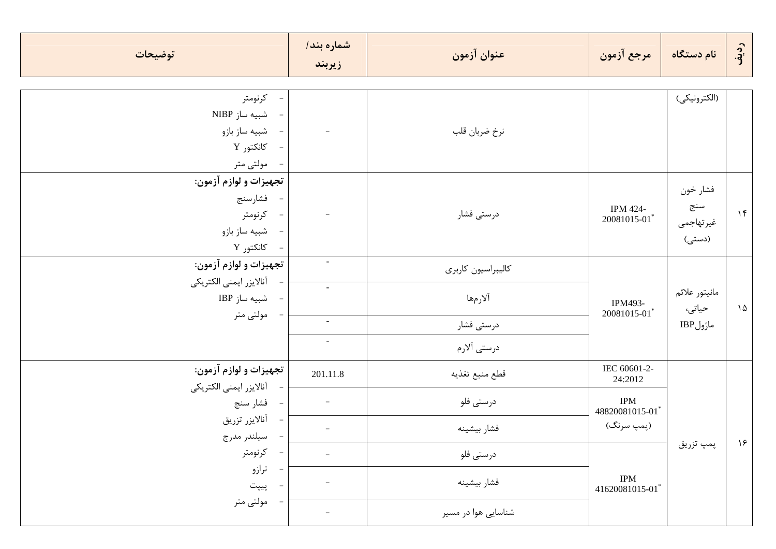| توضيحات                                                   | شماره بند/<br>زيربند            | عنوان آزمون         | مرجع آزمون                      | نام دستگاه         | رديف      |
|-----------------------------------------------------------|---------------------------------|---------------------|---------------------------------|--------------------|-----------|
| - كرنومتر                                                 |                                 |                     |                                 | (الكترونيكي)       |           |
| - شبیه ساز NIBP                                           |                                 |                     |                                 |                    |           |
| - شبيه ساز بازو                                           | $\overline{\phantom{a}}$        | نرخ ضربان قلب       |                                 |                    |           |
| - كانكتور Y                                               |                                 |                     |                                 |                    |           |
| - مولتى متر                                               |                                 |                     |                                 |                    |           |
| تجهيزات و لوازم آزمون:                                    |                                 |                     |                                 |                    |           |
| - فشارسنج                                                 |                                 |                     |                                 | فشار خون           |           |
| - كرنومتر                                                 | $\equiv$                        | درستی فشار          | <b>IPM 424-</b><br>20081015-01* | سنج<br>غيرتهاجمي   | $\gamma$  |
| - شبيه ساز بازو                                           |                                 |                     |                                 | (دستی)             |           |
| - كانكتور Y                                               |                                 |                     |                                 |                    |           |
| تجهيزات و لوازم آزمون:                                    | $\overline{\phantom{a}}$        | كاليبراسيون كاربرى  |                                 |                    |           |
| آنالايزر ايمنى الكتريكي                                   | $\omega$                        |                     |                                 | مانيتور علائم      |           |
| - شبيه ساز IBP                                            |                                 | آلارمها             | IPM493-                         | حیاتی،<br>ماژولIBP | $\lambda$ |
| مولتى متر                                                 | $\omega$                        | درستی فشار          | 20081015-01*                    |                    |           |
|                                                           | $\sim$                          | درستی آلارم         |                                 |                    |           |
| تجهيزات و لوازم آزمون:                                    | 201.11.8                        | قطع منبع تغذيه      | IEC 60601-2-<br>24:2012         |                    |           |
| أنالايزر ايمنى الكتريكي                                   |                                 |                     |                                 |                    |           |
| فشار سنج<br>$\hspace{0.1mm}-\hspace{0.1mm}$               | $\hspace{0.1mm}-\hspace{0.1mm}$ | درستى فلو           | <b>IPM</b><br>48820081015-01*   |                    |           |
| آنالايزر تزريق<br>$\overline{\phantom{a}}$<br>سيلندر مدرج | $\hspace{0.1mm}-\hspace{0.1mm}$ | فشار بيشينه         | (پمپ سرنگ)                      |                    |           |
| كرنومتر                                                   | $\equiv$                        | درستى فلو           |                                 | پمپ تزریق          | 9         |
| ترازو<br>پيپت                                             |                                 | فشار بيشينه         | <b>IPM</b><br>41620081015-01    |                    |           |
| مولتى متر                                                 | $-$                             | شناسایی هوا در مسیر |                                 |                    |           |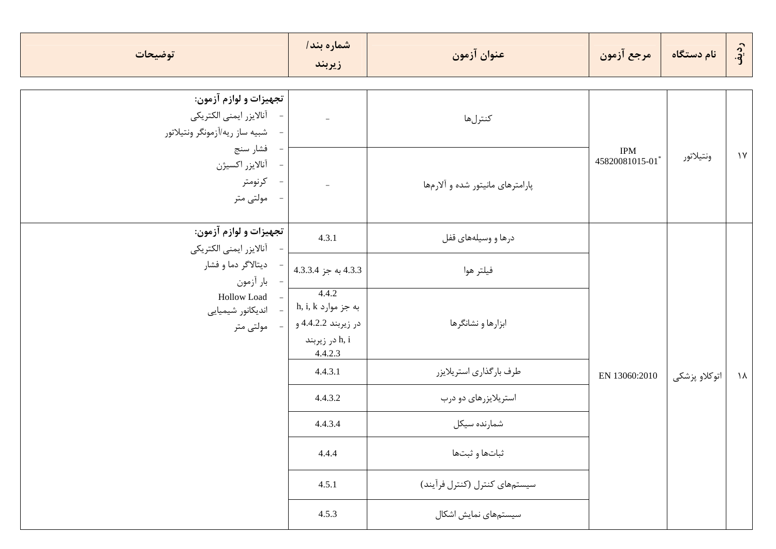| توضيحات                                                                               | شماره بند/<br>زيربند                                                             | عنوان آزمون                      | مرجع آزمون                   | نام دستگاه    | رديف      |  |
|---------------------------------------------------------------------------------------|----------------------------------------------------------------------------------|----------------------------------|------------------------------|---------------|-----------|--|
| تجهيزات و لوازم آزمون:<br>آنالايزر ايمنى الكتريكي<br>- شبيه ساز ريه/أزمونگر ونتيلاتور | $\equiv$                                                                         | كنترلها                          |                              |               |           |  |
| - فشار سنج<br>- أنالايزر اكسيژن<br>- كرنومتر<br>مولتى متر                             | $\bar{a}$                                                                        | پارامترهای مانیتور شده و آلارمها | <b>IPM</b><br>45820081015-01 | ونتيلاتور     | $\gamma$  |  |
| تجهيزات و لوازم آزمون:<br>آنالايزر ايمنى الكتريكي                                     | 4.3.1                                                                            | درها و وسیلههای قفل              |                              |               |           |  |
| ديتالاگر دما و فشار<br>- بار آزمون                                                    | 4.3.3 به جز 4.3.34                                                               | فيلتر هوا                        |                              |               |           |  |
| Hollow Load -<br>- اندیکانور شیمیایی<br>- مولتى متر                                   | 4.4.2<br>h, i, k به جز موارد<br>در زیربند 4.4.2.2 و<br>در زيربند h, i<br>4.4.2.3 | ابزارها و نشانگرها               |                              |               |           |  |
|                                                                                       | 4.4.3.1                                                                          | طرف بارگذاري استريلايزر          | EN 13060:2010                | اتوكلاو پزشكى | $\lambda$ |  |
|                                                                                       | 4.4.3.2                                                                          | استریلایزرهای دو درب             |                              |               |           |  |
|                                                                                       | 4.4.3.4                                                                          | شمارنده سيكل                     |                              |               |           |  |
|                                                                                       | 4.4.4                                                                            | ثباتها و ثبتها                   |                              |               |           |  |
|                                                                                       | 4.5.1                                                                            | سیستمهای کنترل (کنترل فرآیند)    |                              |               |           |  |
|                                                                                       | 4.5.3                                                                            | سیستمهای نمایش اشکال             |                              |               |           |  |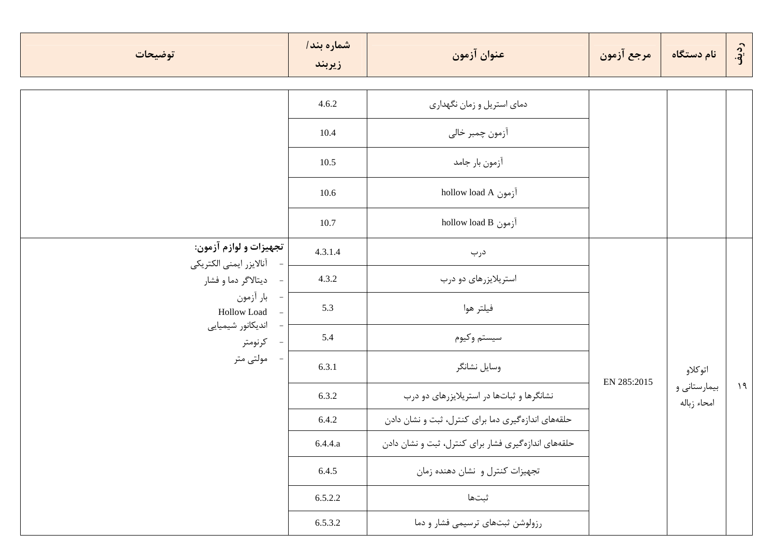| توضيحات                                           | شماره بند/<br>زيربند | عنوان آزمون                                         | مرجع آزمون  | نام دستگاه                  | رديف      |
|---------------------------------------------------|----------------------|-----------------------------------------------------|-------------|-----------------------------|-----------|
|                                                   | 4.6.2                | دمای استریل و زمان نگهداری                          |             |                             |           |
|                                                   | 10.4                 | آزمون چمبر خالي                                     |             |                             |           |
|                                                   | 10.5                 | آزمون بار جامد                                      |             |                             |           |
|                                                   | 10.6                 | hollow load A آزمون                                 |             |                             |           |
|                                                   | 10.7                 | hollow load B أزمون                                 |             |                             |           |
| تجهيزات و لوازم آزمون:<br>أنالايزر ايمنى الكتريكي | 4.3.1.4              | درب                                                 |             |                             |           |
| ديتالاگر دما و فشار<br>$\overline{\phantom{a}}$   | 4.3.2                | استریلایزرهای دو درب                                |             |                             |           |
| بار أزمون<br>Hollow Load                          | 5.3                  | فيلتر هوا                                           |             |                             |           |
| اندیکانور شیمیایی<br>- كرنومتر                    | 5.4                  | سيستم وكيوم                                         |             |                             |           |
| مولتى متر                                         | 6.3.1                | وسايل نشانگر                                        |             | اتوكلاو                     |           |
|                                                   | 6.3.2                | نشانگرها و ثباتها در استریلایزرهای دو درب           | EN 285:2015 | بیمارستانی و<br>امحاء زباله | $\lambda$ |
|                                                   | 6.4.2                | حلقههای اندازهگیری دما برای کنترل، ثبت و نشان دادن  |             |                             |           |
|                                                   | 6.4.4.a              | حلقههای اندازهگیری فشار برای کنترل، ثبت و نشان دادن |             |                             |           |
|                                                   | 6.4.5                | تجهیزات کنترل و نشان دهنده زمان                     |             |                             |           |
|                                                   | 6.5.2.2              | ثبتها                                               |             |                             |           |
|                                                   | 6.5.3.2              | رزولوشن ثبتهای ترسیمی فشار و دما                    |             |                             |           |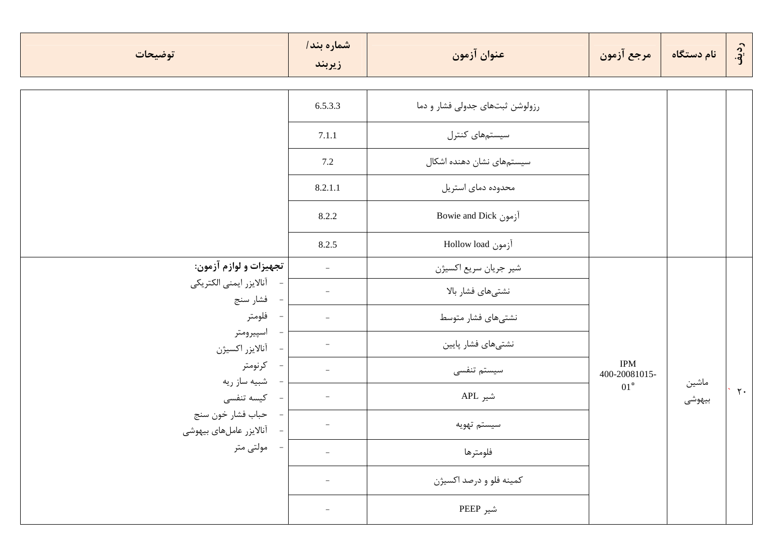| توضيحات                                      | شماره بند/<br>زيربند     | عنوان آزمون                     | مرجع آزمون                  | نام دستگاه      | رديف           |
|----------------------------------------------|--------------------------|---------------------------------|-----------------------------|-----------------|----------------|
|                                              | 6.5.3.3                  | رزولوشن ثبتهای جدولی فشار و دما |                             |                 |                |
|                                              | 7.1.1                    | سیستمهای کنترل                  |                             |                 |                |
|                                              | 7.2                      | سیستمهای نشان دهنده اشکال       |                             |                 |                |
|                                              | 8.2.1.1                  | محدوده دمای استریل              |                             |                 |                |
|                                              | 8.2.2                    | Bowie and Dick [joule and       |                             |                 |                |
|                                              | 8.2.5                    | آزمون Hollow load               |                             |                 |                |
| تجهيزات و لوازم آزمون:                       | $\overline{\phantom{a}}$ | شير جريان سريع اكسيژن           |                             |                 |                |
| آنالايزر ايمنى الكتريكي<br>فشار سنج          | $\overline{\phantom{a}}$ | نشتىهاى فشار بالا               |                             |                 |                |
| فلومتر                                       | $\overline{\phantom{a}}$ | نشتىهاى فشار متوسط              |                             |                 |                |
| اسپیرومتر<br>آنالايزر اكسيژن                 |                          | نشتىهاى فشار پايين              |                             |                 |                |
| كرنومتر<br>شبيه ساز ريه                      |                          | سیستم تنفسی                     | <b>IPM</b><br>400-20081015- |                 |                |
| كيسه تنفسى                                   | $\overline{\phantom{a}}$ | شير APL                         | $01^*$                      | ماشين<br>بيهوشى | $\mathbf{r}$ . |
| حباب فشار خون سنج<br>آنالایزر عاملهای بیهوشی | $\overline{\phantom{a}}$ | سيستم تهويه                     |                             |                 |                |
| مولتى متر                                    | $\overline{\phantom{a}}$ | فلومترها                        |                             |                 |                |
|                                              | $\overline{\phantom{a}}$ | كمينه فلو و درصد اكسيژن         |                             |                 |                |
|                                              | $\overline{\phantom{a}}$ | شير PEEP                        |                             |                 |                |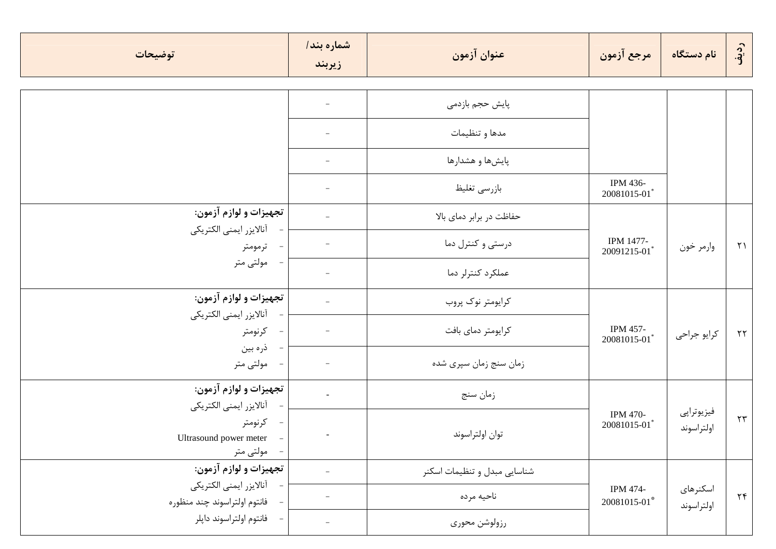| توضيحات                                                                      | شماره بند/<br>زيربند     | عنوان آزمون                  | مرجع آزمون                | نام دستگاه               | رديف       |
|------------------------------------------------------------------------------|--------------------------|------------------------------|---------------------------|--------------------------|------------|
|                                                                              |                          | پایش حجم بازدمی              |                           |                          |            |
|                                                                              |                          | مدها و تنظیمات               |                           |                          |            |
|                                                                              | $\overline{\phantom{m}}$ | پایشها و هشدارها             |                           |                          |            |
|                                                                              |                          | بازرسى تغليظ                 | IPM 436-<br>20081015-01*  |                          |            |
| تجهيزات و لوازم آزمون:                                                       |                          | حفاظت در برابر دمای بالا     |                           | وارمر خون                |            |
| آنالايزر ايمنى الكتريكي<br>- ترمومتر                                         |                          | درستی و کنترل دما            | IPM 1477-<br>20091215-01* |                          | $\uparrow$ |
| مولتى متر                                                                    |                          | عملكرد كنترلر دما            |                           |                          |            |
| تجهيزات و لوازم آزمون:<br>آنالايزر ايمنى الكتريكي                            |                          | كرايومتر نوك پروب            |                           |                          |            |
| كرنومتر<br>$\overline{\phantom{a}}$                                          |                          | كرايومتر دماي بافت           | IPM 457-<br>20081015-01*  | كرايو جراحى              | $\tau\tau$ |
| ذره بين<br>مولتى متر                                                         |                          | زمان سنج زمان سپري شده       |                           |                          |            |
| تجهيزات و لوازم آزمون:<br>أنالايزر ايمني الكتريكي                            | $\omega$                 | زمان سنج                     |                           |                          |            |
| - كرنومتر<br>Ultrasound power meter<br>$\overline{\phantom{a}}$<br>مولتى متر |                          | توان اولتراسوند              | IPM 470-<br>20081015-01*  | فيزيوتراپي<br>اولتراسوند | $\tau\tau$ |
| تجهيزات و لوازم آزمون:                                                       | $\overline{\phantom{m}}$ | شناسایی مبدل و تنظیمات اسکنر |                           |                          |            |
| أنالايزر ايمنى الكتريكي<br>فانتوم اولتراسوند چند منظوره                      | $\overline{\phantom{0}}$ | ناحيه مرده                   | IPM 474-<br>20081015-01*  | اسكنرهاى<br>اولتراسوند   | $\tau$     |
| فانتوم اولتراسوند داپلر                                                      | $\overline{\phantom{a}}$ | رزولوشن محورى                |                           |                          |            |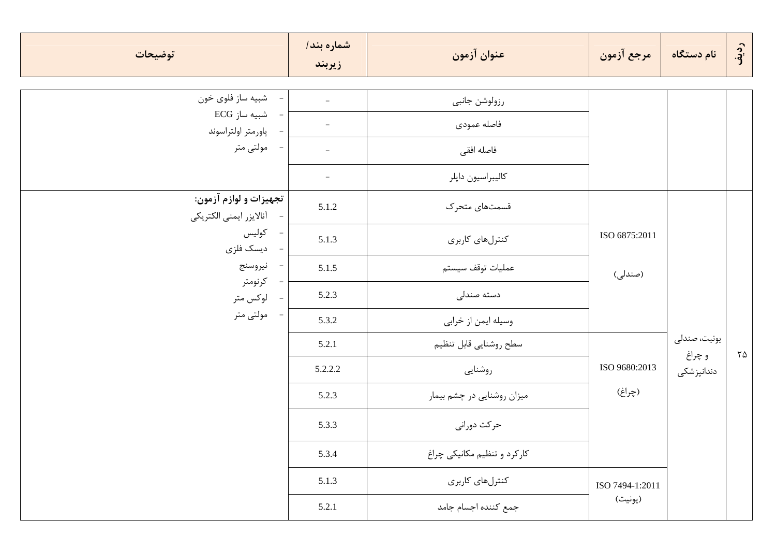| توضيحات                                             | شماره بند/<br>زيربند     | عنوان آزمون                 | مرجع آزمون               | نام دستگاه           | رديف              |
|-----------------------------------------------------|--------------------------|-----------------------------|--------------------------|----------------------|-------------------|
| - شبيه ساز فلوي خون                                 | $\equiv$                 | رزولوشن جانبي               |                          |                      |                   |
| - شبیه ساز ECG<br>- پاورمتر اولتراسوند              | $\overline{\phantom{a}}$ | فاصله عمودى                 |                          |                      |                   |
| - مولتى متر                                         | $\overline{\phantom{a}}$ | فاصله افقى                  |                          |                      |                   |
|                                                     | $\overline{\phantom{a}}$ | كاليبراسيون داپلر           |                          |                      |                   |
| تجهيزات و لوازم آزمون:<br>- أنالايزر ايمنى الكتريكي | 5.1.2                    | قسمتهای متحرک               |                          |                      |                   |
| - كوليس<br>- ديسک فلزي                              | 5.1.3                    | كنترلهاي كاربرى             | ISO 6875:2011<br>(صندلی) |                      |                   |
| - نيروسنج                                           | 5.1.5                    | عمليات توقف سيستم           |                          |                      |                   |
| - كرنومتر<br>- لوکس متر                             | 5.2.3                    | دسته صندلی                  |                          |                      |                   |
| - مولتى متر                                         | 5.3.2                    | وسيله ايمن از خرابي         |                          |                      |                   |
|                                                     | 5.2.1                    | سطح روشنايي قابل تنظيم      |                          | يونيت، صندلى         | $\Upsilon \Delta$ |
|                                                     | 5.2.2.2                  | روشنايي                     | ISO 9680:2013            | و چراغ<br>دندانپزشکی |                   |
|                                                     | 5.2.3                    | میزان روشنایی در چشم بیمار  | (چراغ)                   |                      |                   |
|                                                     | 5.3.3                    | حركت دوراني                 |                          |                      |                   |
|                                                     | 5.3.4                    | کارکرد و تنظیم مکانیکی چراغ |                          |                      |                   |
|                                                     | 5.1.3                    | كنترلهاى كاربرى             | ISO 7494-1:2011          |                      |                   |
|                                                     | 5.2.1                    | جمع كننده اجسام جامد        | (يونيت)                  |                      |                   |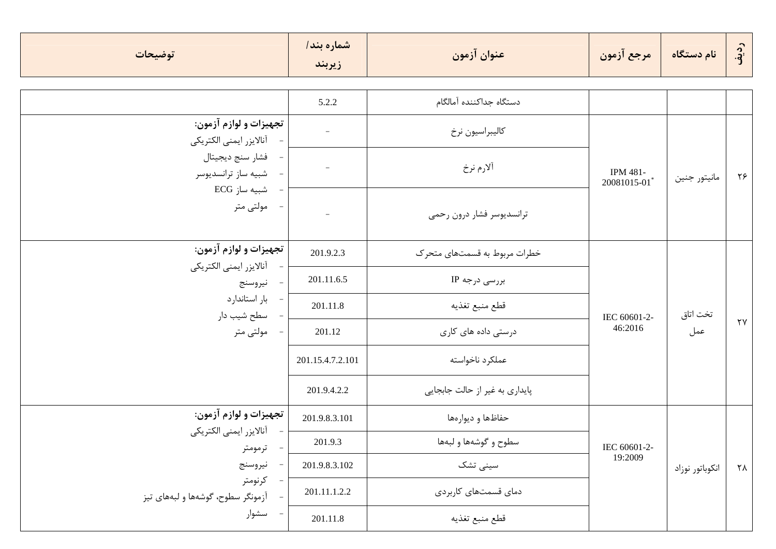| توضيحات                                           | شماره بند/<br>زيربند     | عنوان آزمون                    | مرجع آزمون                      | نام دستگاه      | رديف                   |  |
|---------------------------------------------------|--------------------------|--------------------------------|---------------------------------|-----------------|------------------------|--|
|                                                   | 5.2.2                    | دستگاه جداكننده آمالگام        |                                 |                 |                        |  |
| تجهيزات و لوازم آزمون:<br>آنالايزر ايمنى الكتريكي | $\overline{\phantom{a}}$ | كاليبراسيون نرخ                |                                 |                 |                        |  |
| فشار سنج ديجيتال<br>شبيه ساز ترانسديوسر           |                          | ألارم نرخ                      | <b>IPM 481-</b><br>20081015-01* | مانيتور جنين    | ۲۶                     |  |
| شبیه ساز ECG<br>مولتى متر                         |                          | ترانسديوسر فشار درون رحمى      |                                 |                 |                        |  |
| تجهيزات و لوازم آزمون:<br>آنالايزر ايمنى الكتريكي | 201.9.2.3                | خطرات مربوط به قسمتهای متحرک   | IEC 60601-2-<br>46:2016         | تخت اتاق<br>عمل |                        |  |
| نيروسنج                                           | 201.11.6.5               | بررسی درجه IP                  |                                 |                 |                        |  |
| بار استاندارد<br>سطح شیب دار                      | 201.11.8                 | قطع منبع تغذيه                 |                                 |                 |                        |  |
| مولتى متر                                         | 201.12                   | درستی داده های کاری            |                                 |                 | $\mathsf{Y}\mathsf{Y}$ |  |
|                                                   | 201.15.4.7.2.101         | عملكرد ناخواسته                |                                 |                 |                        |  |
|                                                   | 201.9.4.2.2              | پایداری به غیر از حالت جابجایی |                                 |                 |                        |  |
| تجهيزات و لوازم آزمون:                            | 201.9.8.3.101            | حفاظها و ديوارەها              |                                 |                 |                        |  |
| آنالايزر ايمنى الكتريكي<br>ترمومتر                | 201.9.3                  | سطوح و گوشهها و لبهها          | IEC 60601-2-                    |                 |                        |  |
| نيروسنج                                           | 201.9.8.3.102            | سینی تشک                       | 19:2009                         | انكوباتور نوزاد | ٢٨                     |  |
| كرنومتر<br>آزمونگر سطوح، گوشهها و لبههای تیز      | 201.11.1.2.2             | دمای قسمتهای کاربردی           |                                 |                 |                        |  |
| سشوار                                             | 201.11.8                 | قطع منبع تغذيه                 |                                 |                 |                        |  |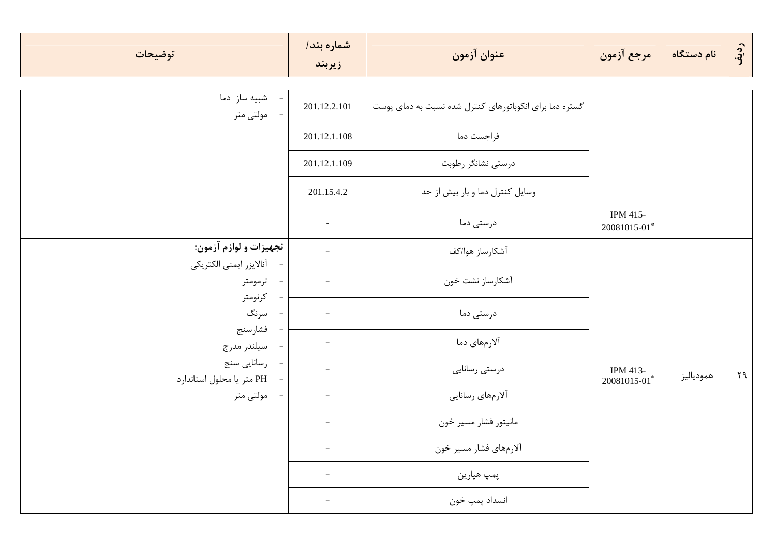| توضيحات                                    | شماره بند/<br>زيربند     | عنوان آزمون                                             | مرجع آزمون               | نام دستگاه | رديف         |
|--------------------------------------------|--------------------------|---------------------------------------------------------|--------------------------|------------|--------------|
| شبیه ساز دما<br>- مولتى متر                | 201.12.2.101             | گستره دما برای انکوباتورهای کنترل شده نسبت به دمای پوست |                          |            |              |
|                                            | 201.12.1.108             | فراجست دما                                              |                          |            |              |
|                                            | 201.12.1.109             | درستی نشانگر رطوبت                                      |                          |            |              |
|                                            | 201.15.4.2               | وسایل کنترل دما و بار بیش از حد                         |                          |            |              |
|                                            | $\blacksquare$           | درستی دما                                               | IPM 415-<br>20081015-01* |            |              |
| تجهيزات و لوازم آزمون:                     | $\equiv$                 | آشكارساز هوا/كف                                         |                          |            |              |
| آنالايزر ايمنى الكتريكي<br>- ترمومتر       | $\overline{\phantom{a}}$ | آشكارساز نشت خون                                        |                          |            |              |
| كرنومتر<br>سرنگ<br>$\sim$ $-$              | $\overline{\phantom{a}}$ | درستی دما                                               |                          |            |              |
| فشارسنج<br>سيلندر مدرج<br>$\sim$ $-$       |                          | آلارمهای دما                                            |                          |            |              |
| - رسانایی سنج<br>PH متر یا محلول استاندارد |                          | درستي رسانايي                                           | IPM 413-                 | همودياليز  | $\Upsilon$ ٩ |
| - مولتى متر                                | $\overline{\phantom{a}}$ | ألارمهاي رسانايي                                        | 20081015-01*             |            |              |
|                                            |                          | مانيتور فشار مسير خون                                   |                          |            |              |
|                                            |                          | ألارمهاي فشار مسير خون                                  |                          |            |              |
|                                            |                          | پمپ هپارين                                              |                          |            |              |
|                                            | $\qquad \qquad -$        | انسداد پمپ خون                                          |                          |            |              |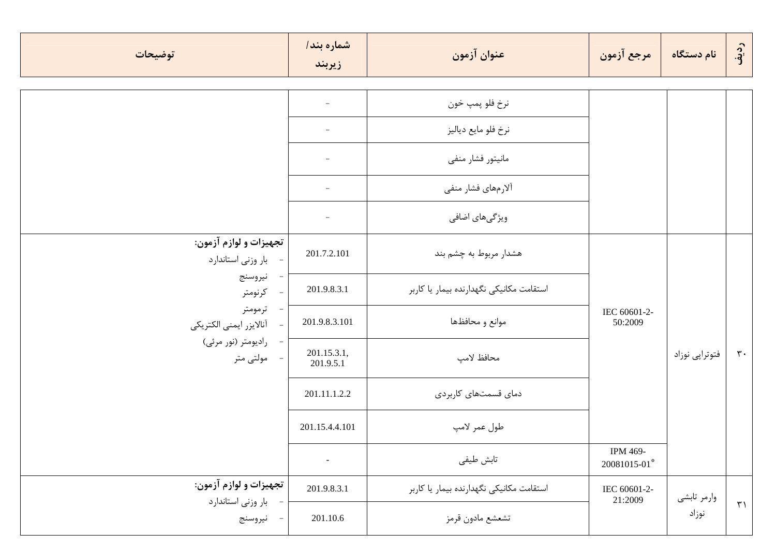| توضيحات                                      | شماره بند/<br>زيربند     | عنوان آزمون                              | مرجع آزمون                           | نام دستگاه     | رديف               |
|----------------------------------------------|--------------------------|------------------------------------------|--------------------------------------|----------------|--------------------|
|                                              |                          |                                          |                                      |                |                    |
|                                              |                          | نرخ فلو پمپ خون                          |                                      |                |                    |
|                                              |                          | نرخ فلو مايع دياليز                      |                                      |                |                    |
|                                              |                          | مانيتور فشار منفى                        |                                      |                |                    |
|                                              | $\overline{\phantom{0}}$ | ألارمهاي فشار منفى                       |                                      |                |                    |
|                                              |                          | ویژگیهای اضافی                           |                                      |                |                    |
| تجهيزات و لوازم آزمون:<br>بار وزنی استاندارد | 201.7.2.101              | هشدار مربوط به چشم بند                   | IEC 60601-2-<br>50:2009              |                |                    |
| نيروسنج<br>كرنومتر                           | 201.9.8.3.1              | استقامت مكانيكي نگهدارنده بيمار يا كاربر |                                      |                |                    |
| ترمومتر<br>آنالايزر ايمنى الكتريكي           | 201.9.8.3.101            | موانع و محافظها                          |                                      |                |                    |
| رادیومتر (نور مرئی)<br>مولتى متر             | 201.15.3.1,<br>201.9.5.1 | محافظ لامپ                               |                                      | فتوتراپي نوزاد | $\mathbf{r}$ .     |
|                                              | 201.11.1.2.2             | دمای قسمتهای کاربردی                     |                                      |                |                    |
|                                              | 201.15.4.4.101           | طول عمر لامپ                             |                                      |                |                    |
|                                              | $\overline{\phantom{a}}$ | تابش طيفي                                | IPM 469-<br>$20081015\text{-}01^{*}$ |                |                    |
| تجهيزات و لوازم آزمون:                       | 201.9.8.3.1              | استقامت مكانيكي نگهدارنده بيمار يا كاربر | IEC 60601-2-                         | وارمر تابشي    |                    |
| بار وزنی استاندارد<br>نيروسنج                | 201.10.6                 | تشعشع مادون قرمز                         | 21:2009                              | نوزاد          | $\uparrow\uparrow$ |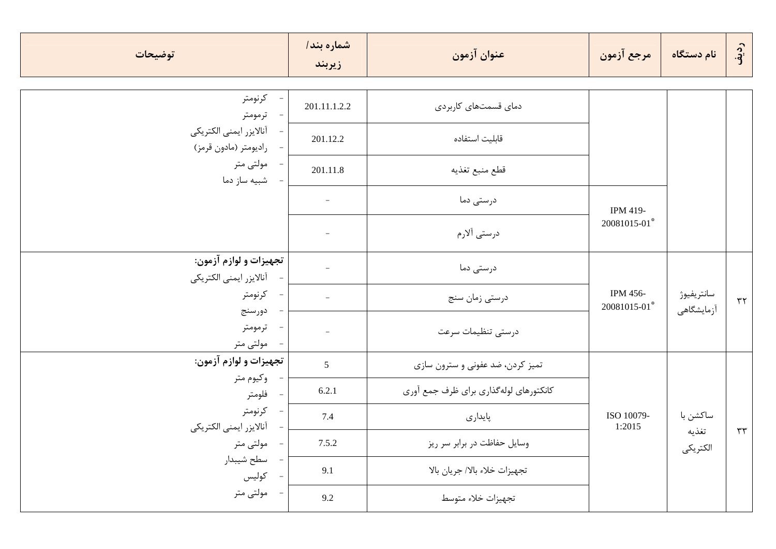| توضيحات                                          | شماره بند/<br>زيربند     | عنوان آزمون                             | مرجع آزمون               | نام دستگاه               | رديف       |
|--------------------------------------------------|--------------------------|-----------------------------------------|--------------------------|--------------------------|------------|
| - كرنومتر<br>ترمومتر                             | 201.11.1.2.2             | دمای قسمتهای کاربردی                    |                          |                          |            |
| آنالايزر ايمنى الكتريكي<br>راديومتر (مادون قرمز) | 201.12.2                 | قابليت استفاده                          |                          |                          |            |
| مولتی متر<br>شبیه ساز دما                        | 201.11.8                 | قطع منبع تغذيه                          |                          |                          |            |
|                                                  | $\overline{\phantom{a}}$ | درستی دما                               | IPM 419-                 |                          |            |
|                                                  |                          | درستی آلارم                             | 20081015-01*             |                          |            |
| تجهيزات و لوازم آزمون:                           |                          | درستی دما                               |                          |                          |            |
| آنالايزر ايمنى الكتريكي<br>كرنومتر<br>دورسنج     | $\overline{\phantom{a}}$ | درستي زمان سنج                          | IPM 456-<br>20081015-01* | سانتريفيوژ<br>أزمايشگاهي | $\tau\tau$ |
| ترمومتر<br>مولتی متر                             | $\equiv$                 | درستى تنظيمات سرعت                      |                          |                          |            |
| تجهيزات و لوازم آزمون:                           | 5                        | تمیز کردن، ضد عفونی و سترون سازی        |                          |                          |            |
| - وکيوم متر<br>فلومتر                            | 6.2.1                    | كانكتورهاي لوله گذاري براي ظرف جمع آوري |                          |                          |            |
| - كرنومتر<br>آنالايزر ايمنى الكتريكي             | 7.4                      | پايدارى                                 | ISO 10079-<br>1:2015     | ساكشن با                 |            |
| مولتی متر                                        | 7.5.2                    | وسایل حفاظت در برابر سر ریز             |                          | تغذيه<br>الكتريكي        | $\tau\tau$ |
| سطح شيبدار<br>كوليس                              | 9.1                      | تجهيزات خلاء بالا/ جريان بالا           |                          |                          |            |
| مولتى متر                                        | 9.2                      | تجهيزات خلاء متوسط                      |                          |                          |            |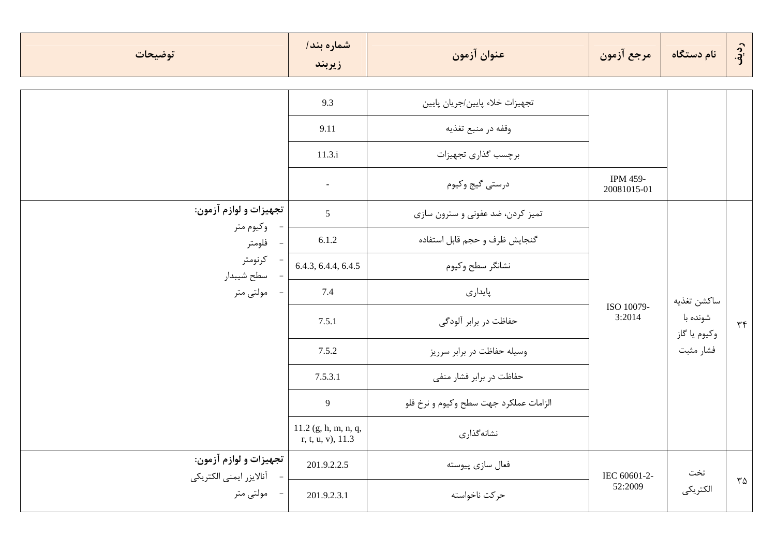| توضيحات                                | شماره بند/<br>زيربند                           | عنوان آزمون                            | مرجع آزمون                     | نام دستگاه  | رديف                        |        |
|----------------------------------------|------------------------------------------------|----------------------------------------|--------------------------------|-------------|-----------------------------|--------|
|                                        |                                                |                                        |                                |             |                             |        |
|                                        | 9.3                                            | تجهيزات خلاء پايين/جريان پايين         |                                |             |                             |        |
|                                        | 9.11                                           | وقفه در منبع تغذيه                     |                                |             |                             |        |
|                                        | 11.3.i                                         | برچسب گذاری تجهیزات                    |                                |             |                             |        |
|                                        | $\blacksquare$                                 | درستي گيج وكيوم                        | <b>IPM 459-</b><br>20081015-01 |             |                             |        |
| تجهيزات و لوازم آزمون:                 | $5\overline{)}$                                | تميز كردن، ضد عفونى و سترون سازى       | ISO 10079-<br>3:2014           |             |                             |        |
| وكيوم متر<br>- فلومتر                  | 6.1.2                                          | گنجايش ظرف و حجم قابل استفاده          |                                |             |                             |        |
| - كرنومتر<br>سطح شيبدار                | 6.4.3, 6.4.4, 6.4.5                            | نشانگر سطح وكيوم                       |                                |             |                             |        |
| - مولتى متر                            | 7.4                                            | پايدارى                                |                                | ساكشن تغذيه |                             |        |
|                                        | 7.5.1                                          | حفاظت در برابر آلودگی                  |                                |             | شونده با<br>وكيوم يا گاز    | $\tau$ |
|                                        | 7.5.2                                          | وسیله حفاظت در برابر سرریز             |                                | فشار مثبت   |                             |        |
|                                        | 7.5.3.1                                        | حفاظت در برابر فشار منفى               |                                |             |                             |        |
|                                        | 9                                              | الزامات عملكرد جهت سطح وكيوم و نرخ فلو |                                |             |                             |        |
|                                        | $11.2$ (g, h, m, n, q,<br>$r, t, u, v)$ , 11.3 | نشانه گذاری                            |                                |             |                             |        |
| تجهيزات و لوازم آزمون:                 | 201.9.2.2.5                                    | فعال سازي پيوسته                       | IEC 60601-2-                   | تخت         |                             |        |
| آنالايزر ايمنى الكتريكي<br>- مولتى متر | 201.9.2.3.1                                    | حركت ناخواسته                          | 52:2009                        | الكتريكي    | $\mathsf{r}\mathsf{\Delta}$ |        |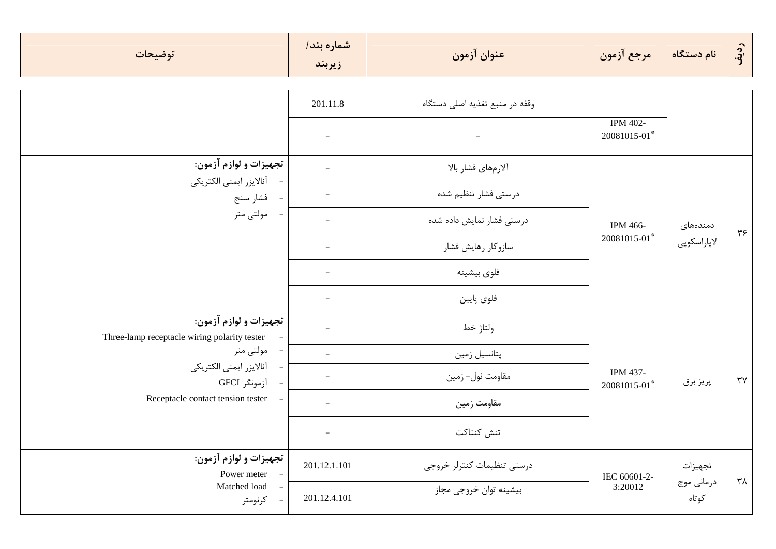| توضيحات                                                                | شماره بند/<br>زيربند     | عنوان آزمون                    | مرجع آزمون                      | نام دستگاه          | ردنې<br>آف             |
|------------------------------------------------------------------------|--------------------------|--------------------------------|---------------------------------|---------------------|------------------------|
|                                                                        | 201.11.8                 | وقفه در منبع تغذيه اصلى دستگاه |                                 |                     |                        |
|                                                                        | $\qquad \qquad -$        | $\overline{\phantom{a}}$       | <b>IPM 402-</b><br>20081015-01* |                     |                        |
| تجهيزات و لوازم آزمون:                                                 |                          | ألارمهاي فشار بالا             |                                 |                     |                        |
| أنالايزر ايمنى الكتريكي<br>فشار سنج                                    |                          | درستی فشار تنظیم شده           |                                 |                     |                        |
| مولتى متر                                                              |                          | درستی فشار نمایش داده شده      | IPM 466-                        | دمندەھاى            | $\mathbf{y}$           |
|                                                                        |                          | سازوكار رهايش فشار             | 20081015-01*                    | لاپاراسكوپى         |                        |
|                                                                        |                          | فلوى بيشينه                    |                                 |                     |                        |
|                                                                        |                          | فلوى پايين                     |                                 |                     |                        |
| تجهيزات و لوازم آزمون:<br>Three-lamp receptacle wiring polarity tester |                          | ولتاژ خط                       |                                 |                     |                        |
| مولتى متر<br>$\overline{\phantom{a}}$                                  | $\overline{\phantom{a}}$ | پتانسیل زمین                   |                                 |                     |                        |
| آنالايزر ايمنى الكتريكي<br>آزمونگر GFCI                                |                          | مقاومت نول- زمين               | IPM 437-<br>20081015-01*        | پريز برق            | $\mathsf{r}\mathsf{v}$ |
| Receptacle contact tension tester                                      | $\overline{\phantom{0}}$ | مقاومت زمين                    |                                 |                     |                        |
|                                                                        |                          | تنش كنتاكت                     |                                 |                     |                        |
| تجهيزات و لوازم آزمون:<br>Power meter                                  | 201.12.1.101             | درستى تنظيمات كنترلر خروجى     | IEC 60601-2-                    | تجهيزات             |                        |
| Matched load<br>كرنومتر                                                | 201.12.4.101             | .<br>بیشینه توان خروجی مجاز    | 3:20012                         | درماني موج<br>كوتاه | ۳۸                     |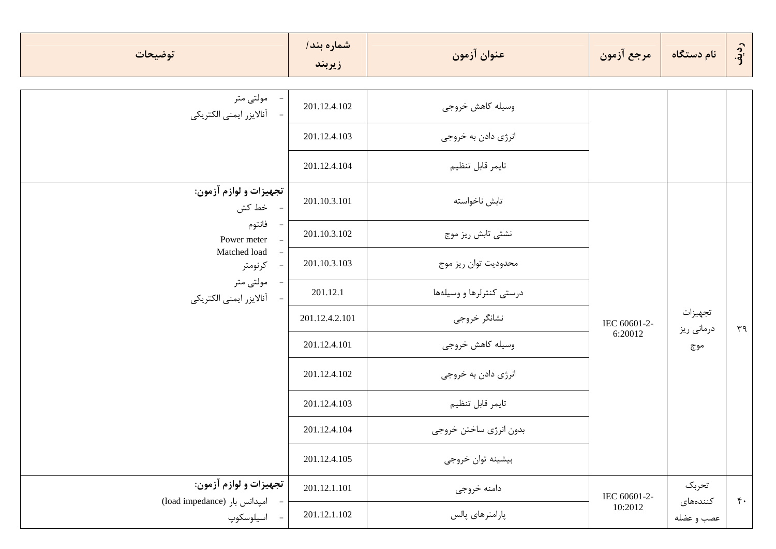| توضيحات                                               | شماره بند/<br>زيربند | عنوان آزمون              | مرجع آزمون              | نام دستگاه             | رديف             |
|-------------------------------------------------------|----------------------|--------------------------|-------------------------|------------------------|------------------|
| - مولتی متر<br>- أنالايزر ايمنى الكتريكي              | 201.12.4.102         | وسيله كاهش خروجى         |                         |                        |                  |
|                                                       | 201.12.4.103         | انرژی دادن به خروجی      |                         |                        |                  |
|                                                       | 201.12.4.104         | تايمر قابل تنظيم         |                         |                        |                  |
| تجهيزات و لوازم آزمون:<br>- خط کش                     | 201.10.3.101         | تابش ناخواسته            | IEC 60601-2-<br>6:20012 |                        |                  |
| – فانتوم<br>Power meter                               | 201.10.3.102         | نشتی تابش ریز موج        |                         |                        |                  |
| Matched load<br>$\overline{\phantom{a}}$<br>- كرنومتر | 201.10.3.103         | محدوديت توان ريز موج     |                         |                        |                  |
| مولتى متر<br>آنالايزر ايمنى الكتريكي                  | 201.12.1             | درستی کنترلرها و وسیلهها |                         |                        |                  |
|                                                       | 201.12.4.2.101       | نشانگر خروجي             |                         | تجهيزات<br>درمانی ریز  | $r_{\theta}$     |
|                                                       | 201.12.4.101         | وسيله كاهش خروجى         |                         | موج                    |                  |
|                                                       | 201.12.4.102         | انرژی دادن به خروجی      |                         |                        |                  |
|                                                       | 201.12.4.103         | تايمر قابل تنظيم         |                         |                        |                  |
|                                                       | 201.12.4.104         | بدون انرژي ساختن خروجي   |                         |                        |                  |
|                                                       | 201.12.4.105         | بيشينه توان خروجي        |                         |                        |                  |
| تجهيزات و لوازم آزمون:                                | 201.12.1.101         | دامنه خروجي              | IEC 60601-2-            | تحربك                  | $\mathfrak{r}$ . |
| (load impedance) امپدانس بار<br>- اسيلوسكوپ           | 201.12.1.102         | پارامترهای پالس          | 10:2012                 | كنندەھاي<br>عصب و عضله |                  |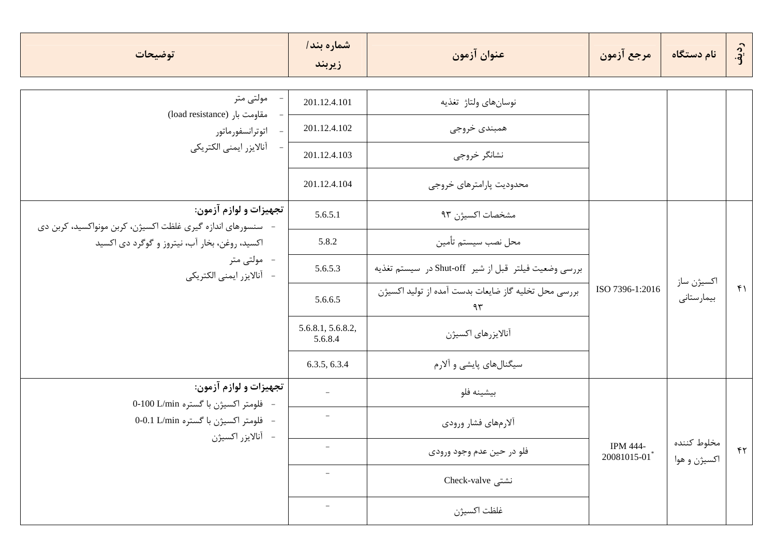| توضيحات                                                                             | شماره بند/<br>زيربند         | عنوان آزمون                                                | مرجع آزمون              | ً نام دستگاه                | رديف               |
|-------------------------------------------------------------------------------------|------------------------------|------------------------------------------------------------|-------------------------|-----------------------------|--------------------|
| مولتى متر                                                                           | 201.12.4.101                 | نوسانهاي ولتاژ تغذيه                                       |                         |                             |                    |
| (load resistance) مقاومت بار<br>اتوترانسفورماتور                                    | 201.12.4.102                 | همبندي خروجي                                               |                         |                             |                    |
| آنالايزر ايمنى الكتريكي                                                             | 201.12.4.103                 | نشانگر خروجي                                               |                         |                             |                    |
|                                                                                     | 201.12.4.104                 | محدوديت پارامترهاي خروجي                                   |                         |                             |                    |
| تجهيزات و لوازم آزمون:<br>سنسورهای اندازه گیری غلظت اکسیژن، کربن مونواکسید، کربن دی | 5.6.5.1                      | مشخصات اكسيژن ٩٣                                           |                         |                             |                    |
| اکسید، روغن، بخار آب، نیتروز و گوگرد دی اکسید                                       | 5.8.2                        | محل نصب سيستم تأمين                                        |                         |                             |                    |
| -۔ مولتی متر<br>- آنالايزر ايمنى الكتريكي                                           | 5.6.5.3                      | بررسي وضعيت فيلتر قبل از شير Shut-off در سيستم تغذيه       |                         |                             |                    |
|                                                                                     | 5.6.6.5                      | بررسی محل تخلیه گاز ضایعات بدست آمده از تولید اکسیژن<br>۹۳ | ISO 7396-1:2016         | اكسيژن ساز<br>بيمارستانى    | $f \cap$           |
|                                                                                     | 5.6.8.1, 5.6.8.2,<br>5.6.8.4 | آنالايزرهاى اكسيژن                                         |                         |                             |                    |
|                                                                                     | 6.3.5, 6.3.4                 | سیگنالهای پایشی و آلارم                                    |                         |                             |                    |
| تجهيزات و لوازم آزمون:<br>- فلومتر اكسيژن با گستره 0-100 L/min                      | $\overline{\phantom{a}}$     | بيشينه فلو                                                 |                         |                             |                    |
| - فلومتر اكسيژن با گستره 0-0.1 L/min                                                |                              | ألارمهاي فشار ورودي                                        |                         |                             |                    |
| - أنالايزر اكسيژن                                                                   |                              | فلو در حين عدم وجود ورودي                                  | IPM 444-<br>20081015-01 | مخلوط كننده<br>اکسیژن و هوا | $\uparrow\uparrow$ |
|                                                                                     |                              | نشتی Check-valve                                           |                         |                             |                    |
|                                                                                     | $\qquad \qquad -$            | غلظت اكسيژن                                                |                         |                             |                    |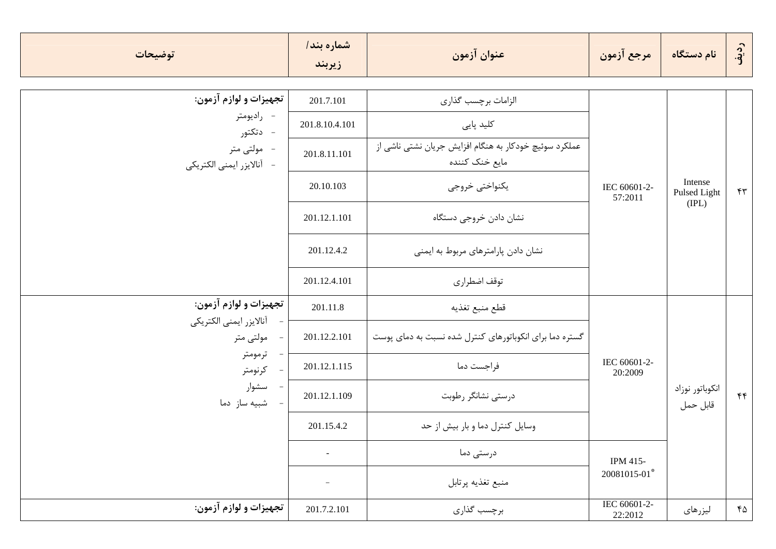| توضيحات                                   | شماره بند/<br>زيربند     | عنوان آزمون                                                              | مرجع آزمون              | نام دستگاه                       | رديف         |
|-------------------------------------------|--------------------------|--------------------------------------------------------------------------|-------------------------|----------------------------------|--------------|
| تجهيزات و لوازم آزمون:                    | 201.7.101                | الزامات برچسب گذارى                                                      |                         |                                  |              |
| - راديومتر<br>- دتكتور                    | 201.8.10.4.101           | کلید پایی                                                                |                         |                                  |              |
| -۔ مولتی متر<br>- آنالايزر ايمنى الكتريكي | 201.8.11.101             | عملکرد سوئیچ خودکار به هنگام افزایش جریان نشتی ناشی از<br>مایع خنک کننده |                         | Intense<br>Pulsed Light<br>(IPL) |              |
|                                           | 20.10.103                | يكنواختي خروجي                                                           | IEC 60601-2-<br>57:2011 |                                  | $\mathbf{r}$ |
|                                           | 201.12.1.101             | نشان دادن خروجي دستگاه                                                   |                         |                                  |              |
|                                           | 201.12.4.2               | نشان دادن پارامترهای مربوط به ایمنی                                      |                         |                                  |              |
|                                           | 201.12.4.101             | توقف اضطراري                                                             |                         |                                  |              |
| تجهيزات و لوازم آزمون:                    | 201.11.8                 | قطع منبع تغذيه                                                           |                         |                                  |              |
| آنالايزر ايمنى الكتريكي<br>مولتى متر      | 201.12.2.101             | گستره دما برای انکوباتورهای کنترل شده نسبت به دمای پوست                  |                         |                                  |              |
| ترمومتر<br>كرنومتر                        | 201.12.1.115             | فراجست دما                                                               | IEC 60601-2-<br>20:2009 |                                  |              |
| سشوار<br>شبیه ساز دما                     | 201.12.1.109             | درستی نشانگر رطوبت                                                       |                         | انكوباتور نوزاد<br>قابل حمل      | f(f)         |
|                                           | 201.15.4.2               | وسایل کنترل دما و بار بیش از حد                                          |                         |                                  |              |
|                                           | $\overline{\phantom{a}}$ | درستی دما                                                                | IPM 415-                |                                  |              |
|                                           | $\overline{\phantom{a}}$ | منبع تغذيه پرتابل                                                        | 20081015-01*            |                                  |              |
| تجهيزات و لوازم آزمون:                    | 201.7.2.101              | برچسب گذاری                                                              | IEC 60601-2-<br>22:2012 | ليزرهاى                          | 60           |